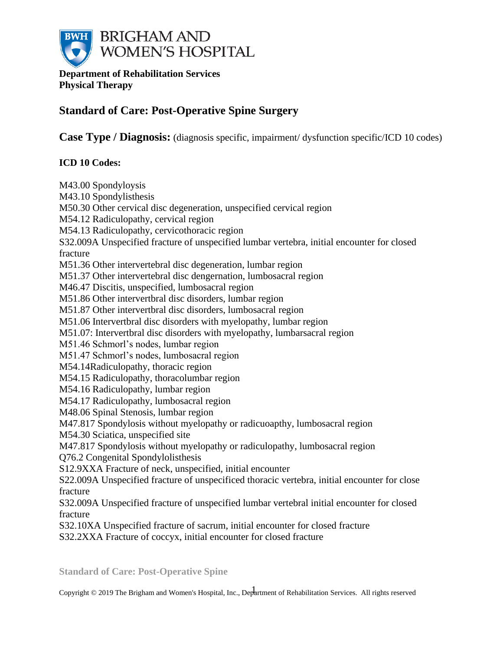

**Department of Rehabilitation Services Physical Therapy**

# **Standard of Care: Post-Operative Spine Surgery**

**Case Type / Diagnosis:** (diagnosis specific, impairment/ dysfunction specific/ICD 10 codes)

## **ICD 10 Codes:**

M43.00 Spondyloysis M43.10 Spondylisthesis M50.30 Other cervical disc degeneration, unspecified cervical region M54.12 Radiculopathy, cervical region M54.13 Radiculopathy, cervicothoracic region S32.009A Unspecified fracture of unspecified lumbar vertebra, initial encounter for closed fracture M51.36 Other intervertebral disc degeneration, lumbar region M51.37 Other intervertebral disc dengernation, lumbosacral region M46.47 Discitis, unspecified, lumbosacral region M51.86 Other intervertbral disc disorders, lumbar region M51.87 Other intervertbral disc disorders, lumbosacral region M51.06 Intervertbral disc disorders with myelopathy, lumbar region M51.07: Intervertbral disc disorders with myelopathy, lumbarsacral region M51.46 Schmorl's nodes, lumbar region M51.47 Schmorl's nodes, lumbosacral region M54.14Radiculopathy, thoracic region M54.15 Radiculopathy, thoracolumbar region M54.16 Radiculopathy, lumbar region M54.17 Radiculopathy, lumbosacral region M48.06 Spinal Stenosis, lumbar region M47.817 Spondylosis without myelopathy or radicuoapthy, lumbosacral region M54.30 Sciatica, unspecified site M47.817 Spondylosis without myelopathy or radiculopathy, lumbosacral region Q76.2 Congenital Spondylolisthesis S12.9XXA Fracture of neck, unspecified, initial encounter S22.009A Unspecified fracture of unspecificed thoracic vertebra, initial encounter for close fracture S32.009A Unspecified fracture of unspecified lumbar vertebral initial encounter for closed fracture S32.10XA Unspecified fracture of sacrum, initial encounter for closed fracture S32.2XXA Fracture of coccyx, initial encounter for closed fracture

**Standard of Care: Post-Operative Spine**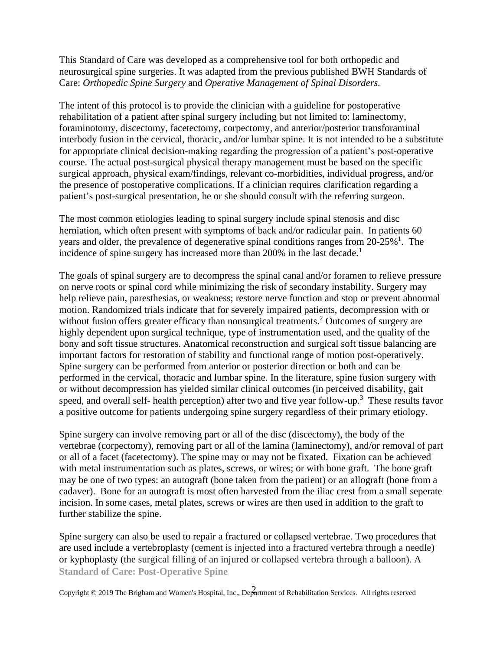This Standard of Care was developed as a comprehensive tool for both orthopedic and neurosurgical spine surgeries. It was adapted from the previous published BWH Standards of Care: *Orthopedic Spine Surgery* and *Operative Management of Spinal Disorders.* 

The intent of this protocol is to provide the clinician with a guideline for postoperative rehabilitation of a patient after spinal surgery including but not limited to: laminectomy, foraminotomy, discectomy, facetectomy, corpectomy, and anterior/posterior transforaminal interbody fusion in the cervical, thoracic, and/or lumbar spine. It is not intended to be a substitute for appropriate clinical decision-making regarding the progression of a patient's post-operative course. The actual post-surgical physical therapy management must be based on the specific surgical approach, physical exam/findings, relevant co-morbidities, individual progress, and/or the presence of postoperative complications. If a clinician requires clarification regarding a patient's post-surgical presentation, he or she should consult with the referring surgeon.

The most common etiologies leading to spinal surgery include spinal stenosis and disc herniation, which often present with symptoms of back and/or radicular pain. In patients 60 years and older, the prevalence of degenerative spinal conditions ranges from 20-25%<sup>1</sup>. The incidence of spine surgery has increased more than 200% in the last decade.<sup>1</sup>

The goals of spinal surgery are to decompress the spinal canal and/or foramen to relieve pressure on nerve roots or spinal cord while minimizing the risk of secondary instability. Surgery may help relieve pain, paresthesias, or weakness; restore nerve function and stop or prevent abnormal motion. Randomized trials indicate that for severely impaired patients, decompression with or without fusion offers greater efficacy than nonsurgical treatments.<sup>2</sup> Outcomes of surgery are highly dependent upon surgical technique, type of instrumentation used, and the quality of the bony and soft tissue structures. Anatomical reconstruction and surgical soft tissue balancing are important factors for restoration of stability and functional range of motion post-operatively. Spine surgery can be performed from anterior or posterior direction or both and can be performed in the cervical, thoracic and lumbar spine. In the literature, spine fusion surgery with or without decompression has yielded similar clinical outcomes (in perceived disability, gait speed, and overall self- health perception) after two and five year follow-up.<sup>3</sup> These results favor a positive outcome for patients undergoing spine surgery regardless of their primary etiology.

Spine surgery can involve removing part or all of the disc (discectomy), the body of the vertebrae (corpectomy), removing part or all of the lamina (laminectomy), and/or removal of part or all of a facet (facetectomy). The spine may or may not be fixated. Fixation can be achieved with metal instrumentation such as plates, screws, or wires; or with bone graft. The bone graft may be one of two types: an autograft (bone taken from the patient) or an allograft (bone from a cadaver). Bone for an autograft is most often harvested from the iliac crest from a small seperate incision. In some cases, metal plates, screws or wires are then used in addition to the graft to further stabilize the spine.

**Standard of Care: Post-Operative Spine** Spine surgery can also be used to repair a fractured or collapsed vertebrae. Two procedures that are used include a vertebroplasty (cement is injected into a fractured vertebra through a needle) or kyphoplasty (the surgical filling of an injured or collapsed vertebra through a balloon). A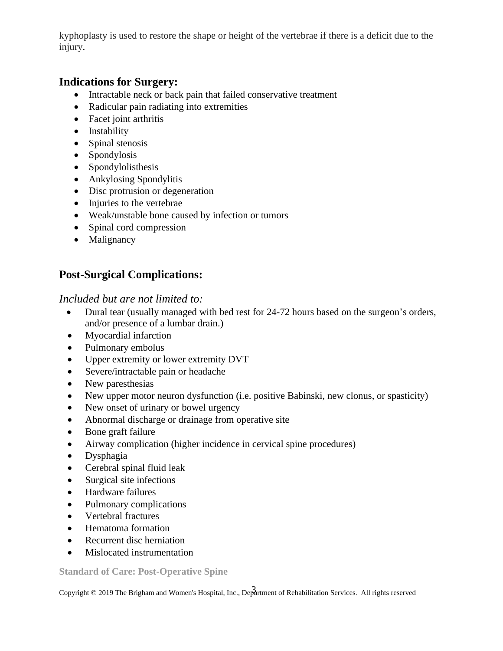kyphoplasty is used to restore the shape or height of the vertebrae if there is a deficit due to the injury.

## **Indications for Surgery:**

- Intractable neck or back pain that failed conservative treatment
- Radicular pain radiating into extremities
- Facet joint arthritis
- Instability
- Spinal stenosis
- Spondylosis
- Spondylolisthesis
- Ankylosing Spondylitis
- Disc protrusion or degeneration
- Injuries to the vertebrae
- Weak/unstable bone caused by infection or tumors
- Spinal cord compression
- Malignancy

# **Post-Surgical Complications:**

### *Included but are not limited to:*

- Dural tear (usually managed with bed rest for 24-72 hours based on the surgeon's orders, and/or presence of a lumbar drain.)
- Myocardial infarction
- Pulmonary embolus
- Upper extremity or lower extremity DVT
- Severe/intractable pain or headache
- New paresthesias
- New upper motor neuron dysfunction (i.e. positive Babinski, new clonus, or spasticity)
- New onset of urinary or bowel urgency
- Abnormal discharge or drainage from operative site
- Bone graft failure
- Airway complication (higher incidence in cervical spine procedures)
- Dysphagia
- Cerebral spinal fluid leak
- Surgical site infections
- Hardware failures
- Pulmonary complications
- Vertebral fractures
- Hematoma formation
- Recurrent disc herniation
- Mislocated instrumentation

**Standard of Care: Post-Operative Spine**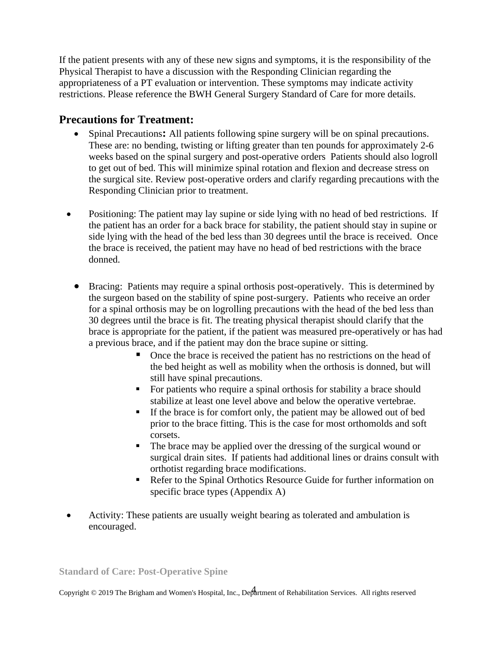If the patient presents with any of these new signs and symptoms, it is the responsibility of the Physical Therapist to have a discussion with the Responding Clinician regarding the appropriateness of a PT evaluation or intervention. These symptoms may indicate activity restrictions. Please reference the BWH General Surgery Standard of Care for more details.

## **Precautions for Treatment:**

- Spinal Precautions**:** All patients following spine surgery will be on spinal precautions. These are: no bending, twisting or lifting greater than ten pounds for approximately 2-6 weeks based on the spinal surgery and post-operative orders Patients should also logroll to get out of bed. This will minimize spinal rotation and flexion and decrease stress on the surgical site. Review post-operative orders and clarify regarding precautions with the Responding Clinician prior to treatment.
- Positioning: The patient may lay supine or side lying with no head of bed restrictions. If the patient has an order for a back brace for stability, the patient should stay in supine or side lying with the head of the bed less than 30 degrees until the brace is received. Once the brace is received, the patient may have no head of bed restrictions with the brace donned.
	- Bracing: Patients may require a spinal orthosis post-operatively. This is determined by the surgeon based on the stability of spine post-surgery. Patients who receive an order for a spinal orthosis may be on logrolling precautions with the head of the bed less than 30 degrees until the brace is fit. The treating physical therapist should clarify that the brace is appropriate for the patient, if the patient was measured pre-operatively or has had a previous brace, and if the patient may don the brace supine or sitting.
		- Once the brace is received the patient has no restrictions on the head of the bed height as well as mobility when the orthosis is donned, but will still have spinal precautions.
		- For patients who require a spinal orthosis for stability a brace should stabilize at least one level above and below the operative vertebrae.
		- If the brace is for comfort only, the patient may be allowed out of bed prior to the brace fitting. This is the case for most orthomolds and soft corsets.
		- The brace may be applied over the dressing of the surgical wound or surgical drain sites. If patients had additional lines or drains consult with orthotist regarding brace modifications.
		- Refer to the Spinal Orthotics Resource Guide for further information on specific brace types (Appendix A)
- Activity: These patients are usually weight bearing as tolerated and ambulation is encouraged.

**Standard of Care: Post-Operative Spine**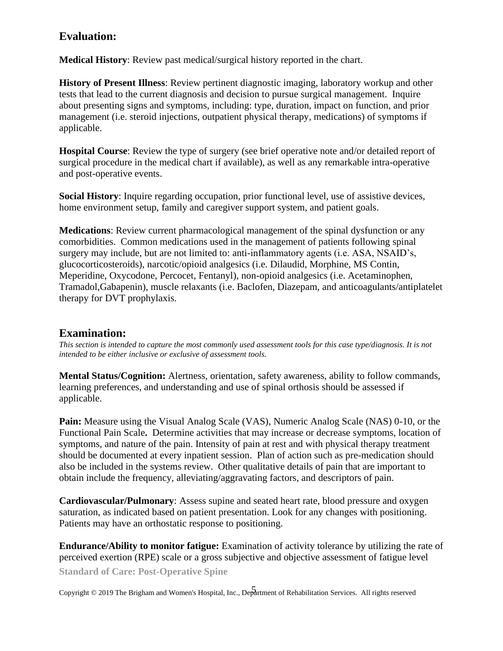## **Evaluation:**

**Medical History**: Review past medical/surgical history reported in the chart.

**History of Present Illness**: Review pertinent diagnostic imaging, laboratory workup and other tests that lead to the current diagnosis and decision to pursue surgical management. Inquire about presenting signs and symptoms, including: type, duration, impact on function, and prior management (i.e. steroid injections, outpatient physical therapy, medications) of symptoms if applicable.

**Hospital Course**: Review the type of surgery (see brief operative note and/or detailed report of surgical procedure in the medical chart if available), as well as any remarkable intra-operative and post-operative events.

**Social History**: Inquire regarding occupation, prior functional level, use of assistive devices, home environment setup, family and caregiver support system, and patient goals.

**Medications**: Review current pharmacological management of the spinal dysfunction or any comorbidities. Common medications used in the management of patients following spinal surgery may include, but are not limited to: anti-inflammatory agents (i.e. ASA, NSAID's, glucocorticosteroids), narcotic/opioid analgesics (i.e. Dilaudid, Morphine, MS Contin, Meperidine, Oxycodone, Percocet, Fentanyl), non-opioid analgesics (i.e. Acetaminophen, Tramadol,Gabapenin), muscle relaxants (i.e. Baclofen, Diazepam, and anticoagulants/antiplatelet therapy for DVT prophylaxis.

## **Examination:**

*This section is intended to capture the most commonly used assessment tools for this case type/diagnosis. It is not intended to be either inclusive or exclusive of assessment tools.*

**Mental Status/Cognition:** Alertness, orientation, safety awareness, ability to follow commands, learning preferences, and understanding and use of spinal orthosis should be assessed if applicable.

Pain: Measure using the Visual Analog Scale (VAS), Numeric Analog Scale (NAS) 0-10, or the Functional Pain Scale**.** Determine activities that may increase or decrease symptoms, location of symptoms, and nature of the pain. Intensity of pain at rest and with physical therapy treatment should be documented at every inpatient session. Plan of action such as pre-medication should also be included in the systems review. Other qualitative details of pain that are important to obtain include the frequency, alleviating/aggravating factors, and descriptors of pain.

**Cardiovascular/Pulmonary**: Assess supine and seated heart rate, blood pressure and oxygen saturation, as indicated based on patient presentation. Look for any changes with positioning. Patients may have an orthostatic response to positioning.

**Endurance/Ability to monitor fatigue:** Examination of activity tolerance by utilizing the rate of perceived exertion (RPE) scale or a gross subjective and objective assessment of fatigue level

**Standard of Care: Post-Operative Spine**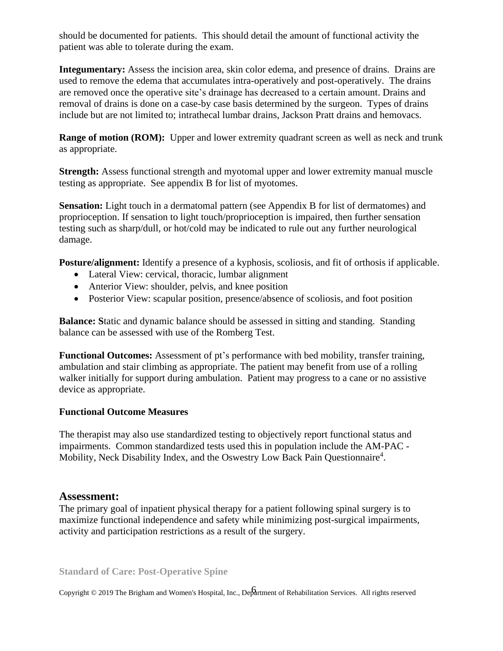should be documented for patients. This should detail the amount of functional activity the patient was able to tolerate during the exam.

**Integumentary:** Assess the incision area, skin color edema, and presence of drains. Drains are used to remove the edema that accumulates intra-operatively and post-operatively. The drains are removed once the operative site's drainage has decreased to a certain amount. Drains and removal of drains is done on a case-by case basis determined by the surgeon. Types of drains include but are not limited to; intrathecal lumbar drains, Jackson Pratt drains and hemovacs.

**Range of motion (ROM):** Upper and lower extremity quadrant screen as well as neck and trunk as appropriate.

**Strength:** Assess functional strength and myotomal upper and lower extremity manual muscle testing as appropriate. See appendix B for list of myotomes.

**Sensation:** Light touch in a dermatomal pattern (see Appendix B for list of dermatomes) and proprioception. If sensation to light touch/proprioception is impaired, then further sensation testing such as sharp/dull, or hot/cold may be indicated to rule out any further neurological damage.

**Posture/alignment:** Identify a presence of a kyphosis, scoliosis, and fit of orthosis if applicable.

- Lateral View: cervical, thoracic, lumbar alignment
- Anterior View: shoulder, pelvis, and knee position
- Posterior View: scapular position, presence/absence of scoliosis, and foot position

**Balance: S**tatic and dynamic balance should be assessed in sitting and standing. Standing balance can be assessed with use of the Romberg Test.

**Functional Outcomes:** Assessment of pt's performance with bed mobility, transfer training, ambulation and stair climbing as appropriate. The patient may benefit from use of a rolling walker initially for support during ambulation. Patient may progress to a cane or no assistive device as appropriate.

#### **Functional Outcome Measures**

The therapist may also use standardized testing to objectively report functional status and impairments. Common standardized tests used this in population include the AM-PAC - Mobility, Neck Disability Index, and the Oswestry Low Back Pain Questionnaire<sup>4</sup>.

#### **Assessment:**

The primary goal of inpatient physical therapy for a patient following spinal surgery is to maximize functional independence and safety while minimizing post-surgical impairments, activity and participation restrictions as a result of the surgery.

**Standard of Care: Post-Operative Spine**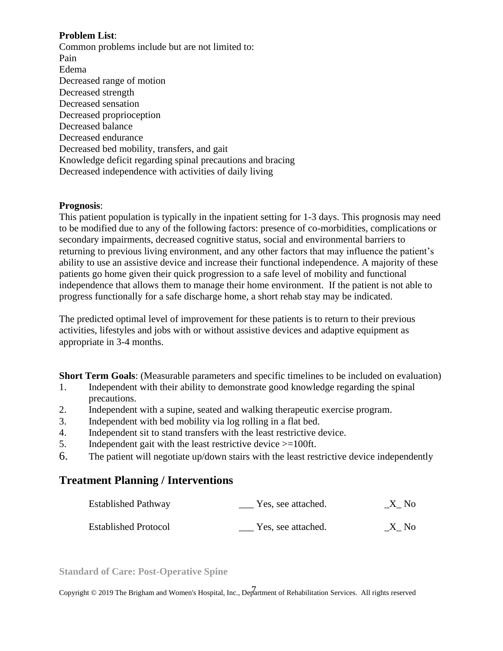#### **Problem List**:

Common problems include but are not limited to: Pain Edema Decreased range of motion Decreased strength Decreased sensation Decreased proprioception Decreased balance Decreased endurance Decreased bed mobility, transfers, and gait Knowledge deficit regarding spinal precautions and bracing Decreased independence with activities of daily living

#### **Prognosis**:

This patient population is typically in the inpatient setting for 1-3 days. This prognosis may need to be modified due to any of the following factors: presence of co-morbidities, complications or secondary impairments, decreased cognitive status, social and environmental barriers to returning to previous living environment, and any other factors that may influence the patient's ability to use an assistive device and increase their functional independence. A majority of these patients go home given their quick progression to a safe level of mobility and functional independence that allows them to manage their home environment. If the patient is not able to progress functionally for a safe discharge home, a short rehab stay may be indicated.

The predicted optimal level of improvement for these patients is to return to their previous activities, lifestyles and jobs with or without assistive devices and adaptive equipment as appropriate in 3-4 months.

**Short Term Goals**: (Measurable parameters and specific timelines to be included on evaluation)

- 1. Independent with their ability to demonstrate good knowledge regarding the spinal precautions.
- 2. Independent with a supine, seated and walking therapeutic exercise program.
- 3. Independent with bed mobility via log rolling in a flat bed.
- 4. Independent sit to stand transfers with the least restrictive device.
- 5. Independent gait with the least restrictive device >=100ft.
- 6. The patient will negotiate up/down stairs with the least restrictive device independently

# **Treatment Planning / Interventions**

| <b>Established Pathway</b>  | Yes, see attached. | $X$ <sub>N</sub> o |
|-----------------------------|--------------------|--------------------|
| <b>Established Protocol</b> | Yes, see attached. | X No               |

**Standard of Care: Post-Operative Spine**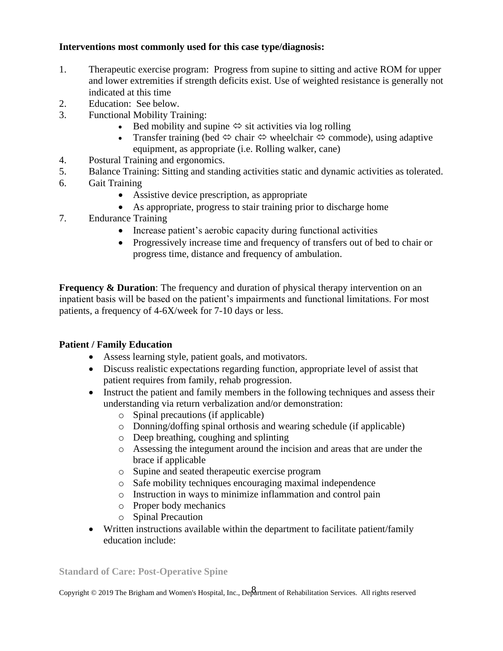#### **Interventions most commonly used for this case type/diagnosis:**

- 1. Therapeutic exercise program: Progress from supine to sitting and active ROM for upper and lower extremities if strength deficits exist. Use of weighted resistance is generally not indicated at this time
- 2. Education: See below.
- 3. Functional Mobility Training:
	- Bed mobility and supine  $\Leftrightarrow$  sit activities via log rolling
	- Transfer training (bed  $\Leftrightarrow$  chair  $\Leftrightarrow$  wheelchair  $\Leftrightarrow$  commode), using adaptive equipment, as appropriate (i.e. Rolling walker, cane)
- 4. Postural Training and ergonomics.
- 5. Balance Training: Sitting and standing activities static and dynamic activities as tolerated.
- 6. Gait Training
	- Assistive device prescription, as appropriate
	- As appropriate, progress to stair training prior to discharge home
- 7. Endurance Training
	- Increase patient's aerobic capacity during functional activities
	- Progressively increase time and frequency of transfers out of bed to chair or progress time, distance and frequency of ambulation.

**Frequency & Duration**: The frequency and duration of physical therapy intervention on an inpatient basis will be based on the patient's impairments and functional limitations. For most patients, a frequency of 4-6X/week for 7-10 days or less.

#### **Patient / Family Education**

- Assess learning style, patient goals, and motivators.
- Discuss realistic expectations regarding function, appropriate level of assist that patient requires from family, rehab progression.
- Instruct the patient and family members in the following techniques and assess their understanding via return verbalization and/or demonstration:
	- o Spinal precautions (if applicable)
	- o Donning/doffing spinal orthosis and wearing schedule (if applicable)
	- o Deep breathing, coughing and splinting
	- o Assessing the integument around the incision and areas that are under the brace if applicable
	- o Supine and seated therapeutic exercise program
	- o Safe mobility techniques encouraging maximal independence
	- o Instruction in ways to minimize inflammation and control pain
	- o Proper body mechanics
	- o Spinal Precaution
- Written instructions available within the department to facilitate patient/family education include:

**Standard of Care: Post-Operative Spine**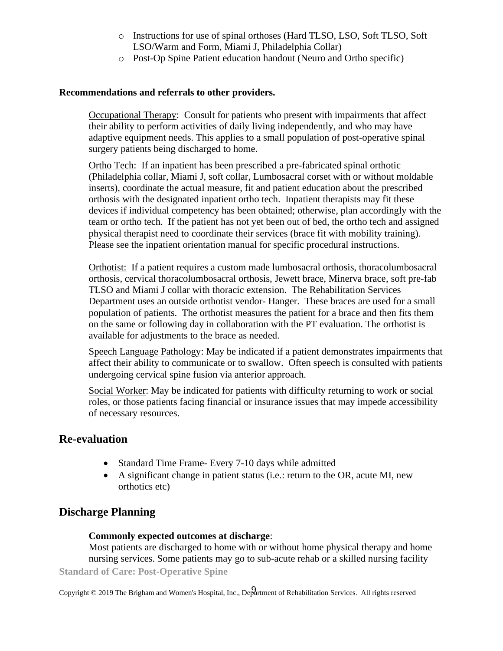- o Instructions for use of spinal orthoses (Hard TLSO, LSO, Soft TLSO, Soft LSO/Warm and Form, Miami J, Philadelphia Collar)
- o Post-Op Spine Patient education handout (Neuro and Ortho specific)

#### **Recommendations and referrals to other providers.**

Occupational Therapy: Consult for patients who present with impairments that affect their ability to perform activities of daily living independently, and who may have adaptive equipment needs. This applies to a small population of post-operative spinal surgery patients being discharged to home.

Ortho Tech: If an inpatient has been prescribed a pre-fabricated spinal orthotic (Philadelphia collar, Miami J, soft collar, Lumbosacral corset with or without moldable inserts), coordinate the actual measure, fit and patient education about the prescribed orthosis with the designated inpatient ortho tech. Inpatient therapists may fit these devices if individual competency has been obtained; otherwise, plan accordingly with the team or ortho tech. If the patient has not yet been out of bed, the ortho tech and assigned physical therapist need to coordinate their services (brace fit with mobility training). Please see the inpatient orientation manual for specific procedural instructions.

Orthotist: If a patient requires a custom made lumbosacral orthosis, thoracolumbosacral orthosis, cervical thoracolumbosacral orthosis, Jewett brace, Minerva brace, soft pre-fab TLSO and Miami J collar with thoracic extension. The Rehabilitation Services Department uses an outside orthotist vendor- Hanger. These braces are used for a small population of patients. The orthotist measures the patient for a brace and then fits them on the same or following day in collaboration with the PT evaluation. The orthotist is available for adjustments to the brace as needed.

Speech Language Pathology: May be indicated if a patient demonstrates impairments that affect their ability to communicate or to swallow. Often speech is consulted with patients undergoing cervical spine fusion via anterior approach.

Social Worker: May be indicated for patients with difficulty returning to work or social roles, or those patients facing financial or insurance issues that may impede accessibility of necessary resources.

#### **Re-evaluation**

- Standard Time Frame- Every 7-10 days while admitted
- A significant change in patient status (i.e.: return to the OR, acute MI, new orthotics etc)

# **Discharge Planning**

#### **Commonly expected outcomes at discharge**:

**Standard of Care: Post-Operative Spine** Most patients are discharged to home with or without home physical therapy and home nursing services. Some patients may go to sub-acute rehab or a skilled nursing facility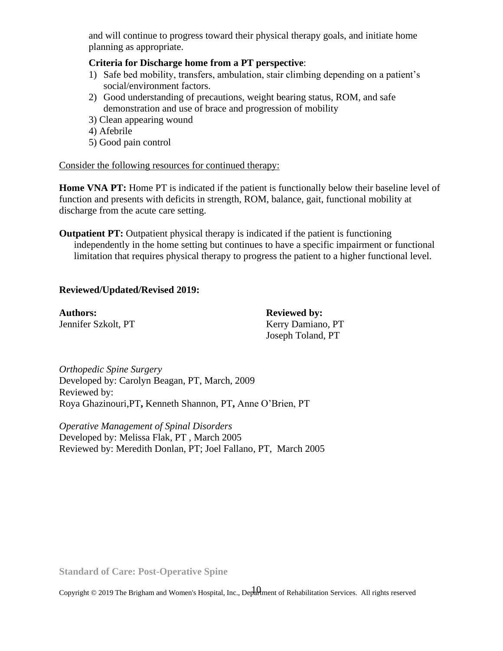and will continue to progress toward their physical therapy goals, and initiate home planning as appropriate.

#### **Criteria for Discharge home from a PT perspective**:

- 1) Safe bed mobility, transfers, ambulation, stair climbing depending on a patient's social/environment factors.
- 2) Good understanding of precautions, weight bearing status, ROM, and safe demonstration and use of brace and progression of mobility
- 3) Clean appearing wound
- 4) Afebrile
- 5) Good pain control

#### Consider the following resources for continued therapy:

**Home VNA PT:** Home PT is indicated if the patient is functionally below their baseline level of function and presents with deficits in strength, ROM, balance, gait, functional mobility at discharge from the acute care setting.

**Outpatient PT:** Outpatient physical therapy is indicated if the patient is functioning independently in the home setting but continues to have a specific impairment or functional limitation that requires physical therapy to progress the patient to a higher functional level.

#### **Reviewed/Updated/Revised 2019:**

**Authors: Reviewed by:**

Jennifer Szkolt, PT Kerry Damiano, PT Joseph Toland, PT

*Orthopedic Spine Surgery* Developed by: Carolyn Beagan, PT, March, 2009 Reviewed by: Roya Ghazinouri,PT**,** Kenneth Shannon, PT**,** Anne O'Brien, PT

*Operative Management of Spinal Disorders* Developed by: Melissa Flak, PT , March 2005 Reviewed by: Meredith Donlan, PT; Joel Fallano, PT, March 2005

**Standard of Care: Post-Operative Spine**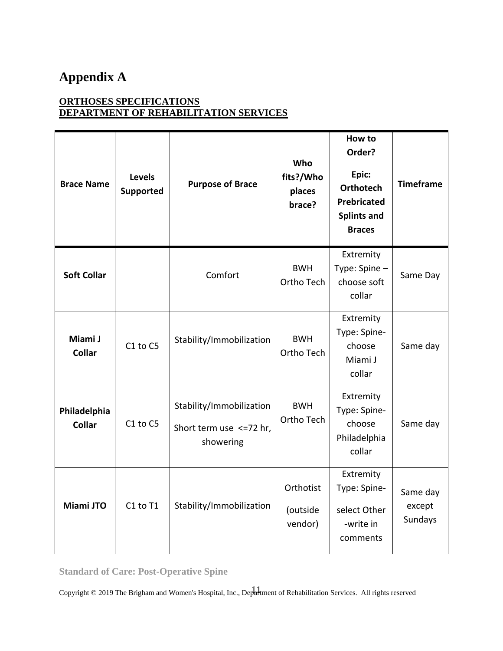# **Appendix A**

## **ORTHOSES SPECIFICATIONS DEPARTMENT OF REHABILITATION SERVICES**

| <b>Brace Name</b>             | Levels<br><b>Supported</b> | <b>Purpose of Brace</b>                                           | Who<br>fits?/Who<br>places<br>brace? | How to<br>Order?<br>Epic:<br><b>Orthotech</b><br><b>Prebricated</b><br><b>Splints and</b><br><b>Braces</b> | <b>Timeframe</b>              |
|-------------------------------|----------------------------|-------------------------------------------------------------------|--------------------------------------|------------------------------------------------------------------------------------------------------------|-------------------------------|
| <b>Soft Collar</b>            |                            | Comfort                                                           | <b>BWH</b><br>Ortho Tech             | Extremity<br>Type: Spine -<br>choose soft<br>collar                                                        | Same Day                      |
| Miami J<br><b>Collar</b>      | C1 to C5                   | Stability/Immobilization                                          | <b>BWH</b><br>Ortho Tech             | Extremity<br>Type: Spine-<br>choose<br>Miami J<br>collar                                                   | Same day                      |
| Philadelphia<br><b>Collar</b> | C1 to C5                   | Stability/Immobilization<br>Short term use <= 72 hr,<br>showering | <b>BWH</b><br>Ortho Tech             | Extremity<br>Type: Spine-<br>choose<br>Philadelphia<br>collar                                              | Same day                      |
| Miami JTO                     | C1 to T1                   | Stability/Immobilization                                          | Orthotist<br>(outside<br>vendor)     | Extremity<br>Type: Spine-<br>select Other<br>-write in<br>comments                                         | Same day<br>except<br>Sundays |

**Standard of Care: Post-Operative Spine**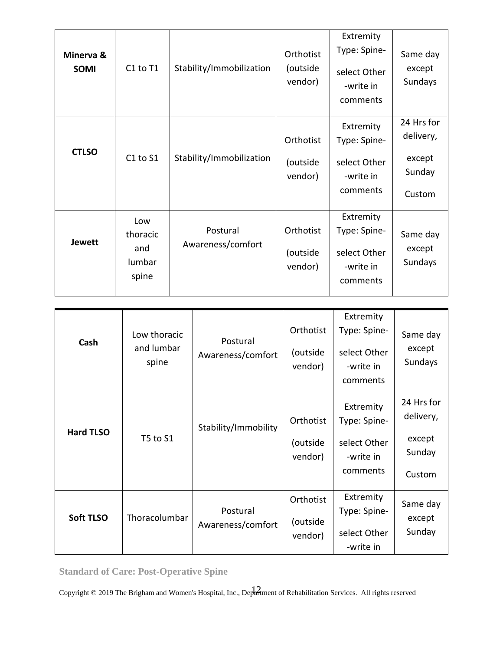| Minerva &<br><b>SOMI</b> | C1 to T1                                  | Stability/Immobilization      | Orthotist<br>(outside<br>vendor) | Extremity<br>Type: Spine-<br>select Other<br>-write in<br>comments | Same day<br>except<br>Sundays                         |
|--------------------------|-------------------------------------------|-------------------------------|----------------------------------|--------------------------------------------------------------------|-------------------------------------------------------|
| <b>CTLSO</b>             | C1 to S1                                  | Stability/Immobilization      | Orthotist<br>(outside<br>vendor) | Extremity<br>Type: Spine-<br>select Other<br>-write in<br>comments | 24 Hrs for<br>delivery,<br>except<br>Sunday<br>Custom |
| <b>Jewett</b>            | Low<br>thoracic<br>and<br>lumbar<br>spine | Postural<br>Awareness/comfort | Orthotist<br>(outside<br>vendor) | Extremity<br>Type: Spine-<br>select Other<br>-write in<br>comments | Same day<br>except<br>Sundays                         |

| Cash             | Low thoracic<br>and lumbar<br>spine | Postural<br>Awareness/comfort | Orthotist<br>(outside<br>vendor) | Extremity<br>Type: Spine-<br>select Other<br>-write in<br>comments | Same day<br>except<br>Sundays                         |
|------------------|-------------------------------------|-------------------------------|----------------------------------|--------------------------------------------------------------------|-------------------------------------------------------|
| <b>Hard TLSO</b> | T5 to S1                            | Stability/Immobility          | Orthotist<br>(outside<br>vendor) | Extremity<br>Type: Spine-<br>select Other<br>-write in<br>comments | 24 Hrs for<br>delivery,<br>except<br>Sunday<br>Custom |
| <b>Soft TLSO</b> | Thoracolumbar                       | Postural<br>Awareness/comfort | Orthotist<br>(outside<br>vendor) | Extremity<br>Type: Spine-<br>select Other<br>-write in             | Same day<br>except<br>Sunday                          |

**Standard of Care: Post-Operative Spine**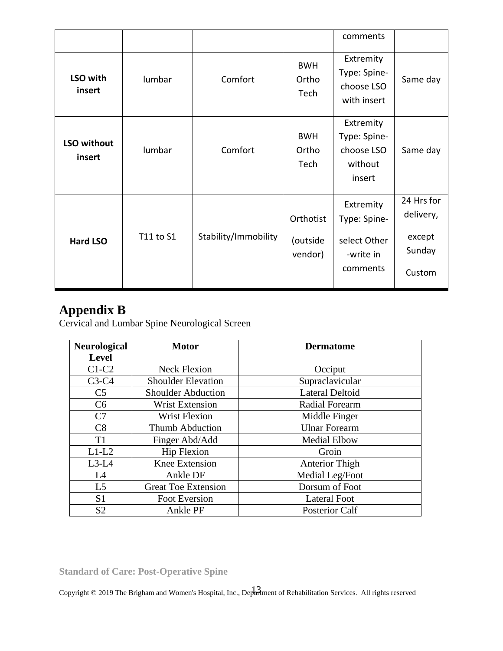|                       |           |                      |                                  | comments                                                           |                                                       |
|-----------------------|-----------|----------------------|----------------------------------|--------------------------------------------------------------------|-------------------------------------------------------|
| LSO with<br>insert    | lumbar    | Comfort              | <b>BWH</b><br>Ortho<br>Tech      | Extremity<br>Type: Spine-<br>choose LSO<br>with insert             | Same day                                              |
| LSO without<br>insert | lumbar    | Comfort              | <b>BWH</b><br>Ortho<br>Tech      | Extremity<br>Type: Spine-<br>choose LSO<br>without<br>insert       | Same day                                              |
| <b>Hard LSO</b>       | T11 to S1 | Stability/Immobility | Orthotist<br>(outside<br>vendor) | Extremity<br>Type: Spine-<br>select Other<br>-write in<br>comments | 24 Hrs for<br>delivery,<br>except<br>Sunday<br>Custom |

# **Appendix B**

Cervical and Lumbar Spine Neurological Screen

| <b>Neurological</b> | <b>Motor</b>               | <b>Dermatome</b>       |
|---------------------|----------------------------|------------------------|
| <b>Level</b>        |                            |                        |
| $C1-C2$             | <b>Neck Flexion</b>        | Occiput                |
| $C3-C4$             | <b>Shoulder Elevation</b>  | Supraclavicular        |
| C <sub>5</sub>      | <b>Shoulder Abduction</b>  | <b>Lateral Deltoid</b> |
| C6                  | <b>Wrist Extension</b>     | <b>Radial Forearm</b>  |
| C7                  | <b>Wrist Flexion</b>       | Middle Finger          |
| C8                  | Thumb Abduction            | <b>Ulnar Forearm</b>   |
| T <sub>1</sub>      | Finger Abd/Add             | <b>Medial Elbow</b>    |
| $L1-L2$             | Hip Flexion                | Groin                  |
| $L3-L4$             | <b>Knee Extension</b>      | Anterior Thigh         |
| L4                  | Ankle DF                   | Medial Leg/Foot        |
| L <sub>5</sub>      | <b>Great Toe Extension</b> | Dorsum of Foot         |
| S <sub>1</sub>      | Foot Eversion              | <b>Lateral Foot</b>    |
| S <sub>2</sub>      | Ankle PF                   | <b>Posterior Calf</b>  |

**Standard of Care: Post-Operative Spine**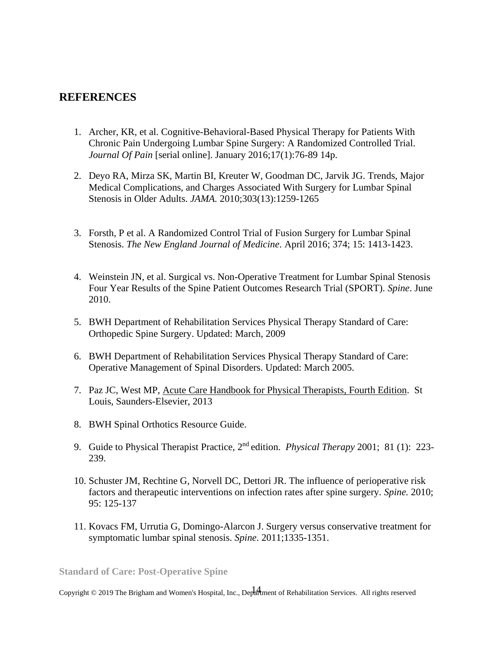### **REFERENCES**

- 1. Archer, KR, et al. Cognitive-Behavioral-Based Physical Therapy for Patients With Chronic Pain Undergoing Lumbar Spine Surgery: A Randomized Controlled Trial. *Journal Of Pain* [serial online]. January 2016;17(1):76-89 14p.
- 2. Deyo RA, Mirza SK, Martin BI, Kreuter W, Goodman DC, Jarvik JG. Trends, Major Medical Complications, and Charges Associated With Surgery for Lumbar Spinal Stenosis in Older Adults. *JAMA.* 2010;303(13):1259-1265
- 3. Forsth, P et al. A Randomized Control Trial of Fusion Surgery for Lumbar Spinal Stenosis. *The New England Journal of Medicine*. April 2016; 374; 15: 1413-1423.
- 4. Weinstein JN, et al. Surgical vs. Non-Operative Treatment for Lumbar Spinal Stenosis Four Year Results of the Spine Patient Outcomes Research Trial (SPORT). *Spine*. June 2010.
- 5. BWH Department of Rehabilitation Services Physical Therapy Standard of Care: Orthopedic Spine Surgery. Updated: March, 2009
- 6. BWH Department of Rehabilitation Services Physical Therapy Standard of Care: Operative Management of Spinal Disorders. Updated: March 2005.
- 7. Paz JC, West MP, Acute Care Handbook for Physical Therapists, Fourth Edition. St Louis, Saunders-Elsevier, 2013
- 8. BWH Spinal Orthotics Resource Guide.
- 9. Guide to Physical Therapist Practice, 2nd edition. *Physical Therapy* 2001; 81 (1): 223- 239.
- 10. Schuster JM, Rechtine G, Norvell DC, Dettori JR. The influence of perioperative risk factors and therapeutic interventions on infection rates after spine surgery. *Spine.* 2010; 95: 125-137
- 11. Kovacs FM, Urrutia G, Domingo-Alarcon J. Surgery versus conservative treatment for symptomatic lumbar spinal stenosis. *Spine*. 2011;1335-1351.

**Standard of Care: Post-Operative Spine**